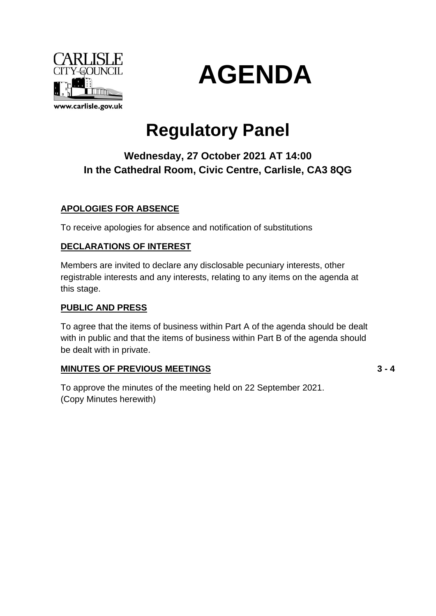



# **Regulatory Panel**

## **Wednesday, 27 October 2021 AT 14:00 In the Cathedral Room, Civic Centre, Carlisle, CA3 8QG**

### **APOLOGIES FOR ABSENCE**

To receive apologies for absence and notification of substitutions

#### **DECLARATIONS OF INTEREST**

Members are invited to declare any disclosable pecuniary interests, other registrable interests and any interests, relating to any items on the agenda at this stage.

#### **PUBLIC AND PRESS**

To agree that the items of business within Part A of the agenda should be dealt with in public and that the items of business within Part B of the agenda should be dealt with in private.

#### **MINUTES OF PREVIOUS MEETINGS**

**3 - 4**

To approve the minutes of the meeting held on 22 September 2021. (Copy Minutes herewith)